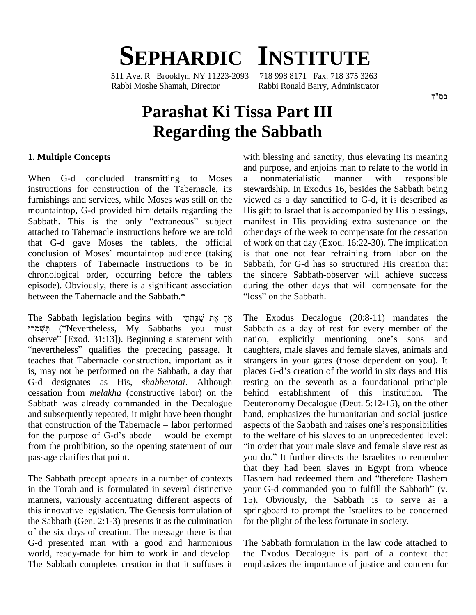# **SEPHARDIC INSTITUTE**

511 Ave. R Brooklyn, NY 11223-2093 718 998 8171 Fax: 718 375 3263 Rabbi Moshe Shamah, Director Rabbi Ronald Barry, Administrator

#### בס"ד

## **Parashat Ki Tissa Part III Regarding the Sabbath**

#### **1. Multiple Concepts**

When G-d concluded transmitting to Moses a instructions for construction of the Tabernacle, its furnishings and services, while Moses was still on the mountaintop, G-d provided him details regarding the Sabbath. This is the only "extraneous" subject attached to Tabernacle instructions before we are told that G-d gave Moses the tablets, the official conclusion of Moses' mountaintop audience (taking the chapters of Tabernacle instructions to be in chronological order, occurring before the tablets episode). Obviously, there is a significant association between the Tabernacle and the Sabbath.\* He Sabbath legislation begins with  $\frac{w}{2}$ אַך אֶת שׁבָּתְתֵי The Sabbath legislation begins with  $\frac{w}{2}$   $\frac{w}{2}$  The Exodus Decalo

Sabbath legislation begins with אֵךְ אֶת שֲׁבְּתֹחַי<br>The (''Nevertheless, My Sabbaths you must Sa The Sabbath legislation begins with אֵךְ אֶת שַׁבְּתַחֲי<br>וואָ ("Nevertheless, My Sabbaths you must Sabba) חִשְׁמרוּ<br>observe" [Exod. 31:13]). Beginning a statement with nation תִּשְׁמרוּ ("Nevertheless, My Sabbaths you must Sandback observe" [Exod. 31:13]). Beginning a statement with na<br>"nevertheless" qualifies the preceding passage. It da teaches that Tabernacle construction, important as it is, may not be performed on the Sabbath, a day that G-d designates as His, *shabbetotai*. Although cessation from *melakha* (constructive labor) on the Sabbath was already commanded in the Decalogue and subsequently repeated, it might have been thought Sabbath was already commanded in the Decalogue Deutes<br>and subsequently repeated, it might have been thought hand,<br>that construction of the Tabernacle – labor performed aspect and subsequently repeated, it might have been thought<br>that construction of the Tabernacle – labor performed as<br>for the purpose of G-d's abode – would be exempt to from the prohibition, so the opening statement of our passage clarifies that point.

in the Torah and is formulated in several distinctive your G-d commanded you to fulfill the Sabbath" (v. manners, variously accentuating different aspects of this innovative legislation. The Genesis formulation of the Sabbath (Gen.  $2:1-3$ ) presents it as the culmination of the six days of creation. The message there is that G-d presented man with a good and harmonious world, ready-made for him to work in and develop. The Sabbath completes creation in that it suffuses it

with blessing and sanctity, thus elevating its meaning and purpose, and enjoins man to relate to the world in a nonmaterialistic manner with responsible stewardship. In Exodus 16, besides the Sabbath being viewed as a day sanctified to G-d, it is described as His gift to Israel that is accompanied by His blessings, manifest in His providing extra sustenance on the other days of the week to compensate for the cessation of work on that day (Exod. 16:22-30). The implication is that one not fear refraining from labor on the Sabbath, for G-d has so structured His creation that the sincere Sabbath-observer will achieve success<br>during the other days that will compensate for the<br>"loss" on the Sabbath. during the other days that will compensate for the

The Sabbath precept appears in a number of contexts Hashem had redeemed them and "therefore Hashem" The Exodus Decalogue (20:8-11) mandates the Sabbath as a day of rest for every member of the nation, explicitly mentioning one's sons and daughters, male slaves and female slaves, animals and strangers in your gates (those dependent on you). It places G-d's creation of the world in six days and His resting on the seventh as a foundational principle establishment of this institution. The Deuteronomy Decalogue (Deut. 5:12-15), on the other<br>hand, emphasizes the humanitarian and social justice<br>aspects of the Sabbath and raises one's responsibilities hand, emphasizes the humanitarian and social justice aspects of the Sabbath and raises one's responsibilities to the welfare of his slaves to an unprecedented level: in order that your male slave and female slave rest as to the welfare of his slaves to an unprecedented level:<br>"in order that your male slave and female slave rest as<br>you do." It further directs the Israelites to remember that they had been slaves in Egypt from whence your G-d commanded you to fulfill the Sabbath<sup>î</sup> (v. you do." It further directs the Israelites to remember<br>that they had been slaves in Egypt from whence<br>Hashem had redeemed them and "therefore Hashem 15). Obviously, the Sabbath is to serve as a springboard to prompt the Israelites to be concerned for the plight of the less fortunate in society.

> The Sabbath formulation in the law code attached to the Exodus Decalogue is part of a context that emphasizes the importance of justice and concern for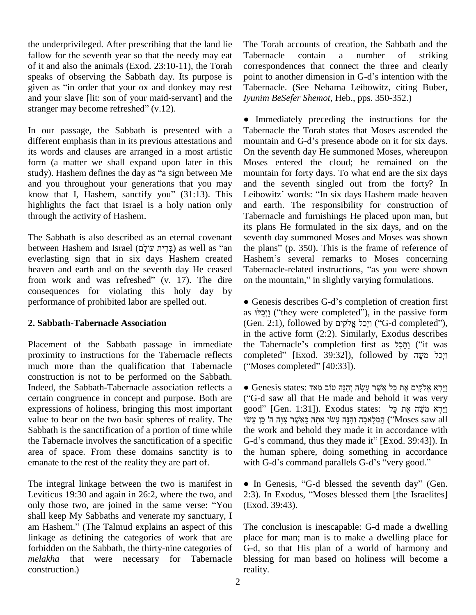the underprivileged. After prescribing that the land lie fallow for the seventh year so that the needy may eat of it and also the animals (Exod. 23:10-11), the Torah speaks of observing the Sabbath day. Its purpose is of it and also the animals (Exod. 23:10-11), the Torah cospeaks of observing the Sabbath day. Its purpose is position as "in order that your ox and donkey may rest Ta and your slave [lit: son of your maid-servant] and the given as "in order that your ox and donkey<br>and your slave [lit: son of your maid-servar<br>stranger may become refreshed" (v.12).

In our passage, the Sabbath is presented with a different emphasis than in its previous attestations and mountain and G-d's presence abode on it for six days. its words and clauses are arranged in a most artistic form (a matter we shall expand upon later in this its words and clauses are arranged in a most artistic On the form (a matter we shall expand upon later in this Mose study). Hashem defines the day as "a sign between Me mour and you throughout your generations that you may study). Hashem defines the day as "a sign between Me mountain for forty days. To what end are the six days and you throughout your generations that you may and the seventh singled out from the forty? In know that I, Hashem highlights the fact that Israel is a holy nation only through the activity of Hashem.

The Sabbath is also described as an eternal covenant between Hashem and Israel (בְּרִית עוֹלִם) as well as "an everlasting sign that in six days Hashem created Hashemeaven and earth and on the seventh day He ceased Taber<br>from work and was refreshed" (v. 17). The dire on the heaven and earth and on the seventh day He ceased Tabernacle-related instructions, "as you were shown consequences for violating this holy day by performance of prohibited labor are spelled out.

### **2. Sabbath-Tabernacle Association**

Placement of the Sabbath passage in immediate proximity to instructions for the Tabernacle reflects much more than the qualification that Tabernacle ("Moses completed" [40:33]). construction is not to be performed on the Sabbath. Indeed, the Sabbath-Tabernacle association reflects a certain congruence in concept and purpose. Both are expressions of holiness, bringing this most important value to bear on the two basic spheres of reality. The Sabbath is the sanctification of a portion of time while the Tabernacle involves the sanctification of a specific area of space. From these domains sanctity is to emanate to the rest of the reality they are part of.

The integral linkage between the two is manifest in Leviticus 19:30 and again in 26:2, where the two, and 2:3). I The integral linkage between the two is manifest in  $\bullet$  In (Leviticus 19:30 and again in 26:2, where the two, and 2:3). I only those two, are joined in the same verse: "You (Exod shall keep My Sabbaths and venerate my sanctuary, I only those two, are joined in the same verse: "You (Exceps Shall keep My Sabbaths and venerate my sanctuary, I am Hashem." (The Talmud explains an aspect of this linkage as defining the categories of work that are forbidden on the Sabbath, the thirty-nine categories of *melakha* that were necessary for Tabernacle construction.)

The Torah accounts of creation, the Sabbath and the Tabernacle contain a number of striking correspondences that connect the three and clearly point to another dimension in G-d's intention with the Tabernacle. (See Nehama Leibowitz, citing Buber, *Iyunim BeSefer Shemot*, Heb., pps. 350-352.) ●

 Immediately preceding the instructions for the mountain and G-dí<sup>s</sup> presence abode on it for six days. Tabernacle the Torah states that Moses ascended the On the seventh day He summoned Moses, whereupon Moses entered the cloud; he remained on the mountain for forty days. To what end are the six days and the seventh singled out from the forty? In mountain for forty days. To what end are the six days<br>and the seventh singled out from the forty? In<br>Leibowitz' words: "In six days Hashem made heaven and earth. The responsibility for construction of Tabernacle and furnishings He placed upon man, but its plans He formulated in the six days, and on the seventh day summoned Moses and Moses was shown the plans" (p. 350). This is the frame of reference of seventh day summoned Moses and Moses was shown<br>the plans" (p. 350). This is the frame of reference of<br>Hashem's several remarks to Moses concerning the plans" (p.  $350$ ). This is the frame of reference of Hashem's several remarks to Moses concerning<br>Tabernacle-related instructions, "as you were shown<br>on the mountain," in slightly varying formulations.

• Genesis describes G-d's completion of creation first as יִיכְלוּ ("they were completed"), in the passive form • Genesis describes G-d's completion of creation first as [יִכֻלוּ 'they were completed''), in the passive form (Gen. 2:1), followed by יַיְכֵל ('G-d completed''), in the active form (2:2). Similarly, Exodus describes (Gen. 2:1), followed by יְיָכֵל אֱלֹקִים ("G-d completed"), in the active form (2:2). Similarly, Exodus describes<br>the Tabernacle's completion first as יֲחֲבָל ("it was in the active form (2:2). Similarly, Exodus describes<br>the Tabernacle's completion first as חֲכָל יוֹשָׁה ("it was<br>completed" [Exod. 39:32]), followed by יַיְכַל מֹשֶׁה the Tabernacle's completion firs<br>
completed" [Exod. 39:32]), foll<br>
("Moses completed" [40:33]).

• Genesis states: יֵיִרְא אֱלֹקִים אֶת כַּל אֱשֶׁר עֲשֶׂה וְהָנֵּה טוֹב מְאד י Genesis states: יַיִּהָ אֱלֹקִים אֶת כָּל אֲשֶׁר עָשֶׂה וְהִנֵּה טוֹב מְאד Genesis states: יַיִּה מוֹב $\gamma$ G-d saw all that He made and behold it was very • Genesis states: פִירְא אֱלֹקִים אֶת כָּל אֲשֶׁר עָשָׂה וְהִנֵּה טוֹב מְאד [Genesis states: "G-d saw all that He made and behold it was very good"<br>נֵיַרְא מִשֶׁה אֶת כָּל [Gen. 1:31]). Exodus states: יֲרָא מִשֶׁה אֶת כ d saw<br>d" [Ger<br>צוה ה' כו w all that He made and behold it was very<br>Gen. 1:31]). Exodus states: רַיֵּרְא מֹשֶׁה אֶת כָּאֲשֶׁר צִוָּה<br>הַמְּלָאכָה וְהִנֵּה עָשׂוּ אתָהּ כַּאֲשֶׁר צִוָּה (''Moses saw all the work and behold they made it in accordance with הַמְּלָאכָה וְהִנֵּה עָשׂוּ אתָהּ כַּאֲשֶׁר צִוָּה ה' כֵּן עָשׂוּ (''Moses saw all the work and behold they made it in accordance with G-d's command, thus they made it'' [Exod. 39:43]). In the human sphere, doing something in accordance G-d's command, thus they made it" [Exod. 39:43]). In the human sphere, doing something in accordance with G-d's command parallels G-d's "very good." In G-d's command parallels G-d's "very good."<br>In Genesis, "G-d blessed the seventh day" (Gen.

• In Genesis, "G-d blessed the seventh day" (Gen.<br>2:3). In Exodus, "Moses blessed them [the Israelites] (Exod. 39:43).

The conclusion is inescapable: G-d made a dwelling place for man; man is to make a dwelling place for G-d, so that His plan of a world of harmony and blessing for man based on holiness will become a reality.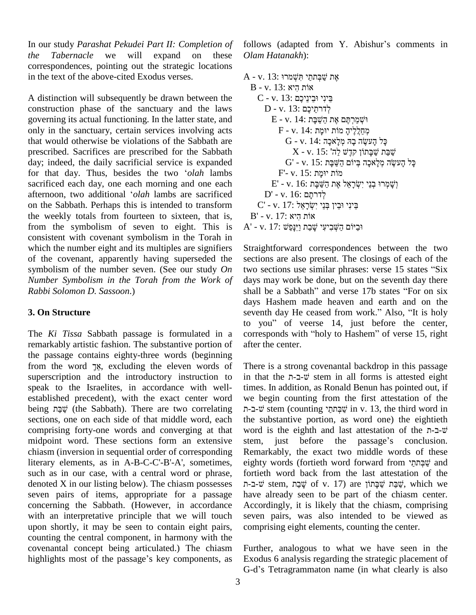In our study *Parashat Pekudei Part II: Completion of the Tabernacle* we will expand on these correspondences, pointing out the strategic locations in the text of the above-cited Exodus verses.

A distinction will subsequently be drawn between the construction phase of the sanctuary and the laws governing its actual functioning. In the latter state, and only in the sanctuary, certain services involving acts that would otherwise be violations of the Sabbath are prescribed. Sacrifices are prescribed for the Sabbath day; indeed, the daily sacrificial service is expanded prescribed. Sacrifices are prescribed for the Sabbath<br>day; indeed, the daily sacrificial service is expanded<br>for that day. Thus, besides the two *'olah* lambs sacrificed each day, one each morning and one each for that day. Thus, besides the two *'olah* lambs F'- v. 15: יוּמָת sacrificed each day, one each morning and one each E' - v. 16: יוּמָת afternoon, two additional '*olah* lambs are sacrificed D' - v. 16: לדרתם ל on the Sabbath. Perhaps this is intended to transform the weekly totals from fourteen to sixteen, that is, from the symbolism of seven to eight. This is consistent with covenant symbolism in the Torah in which the number eight and its multiples are signifiers of the covenant, apparently having superseded the symbolism of the number seven. (See our study *On* two sections use similar phrases: verse 15 states "Six" *Number Symbolism in the Torah from the Work of Rabbi Solomon D. Sassoon*.)

### **3. On Structure**

The *Ki Tissa* Sabbath passage is formulated in a remarkably artistic fashion. The substantive portion of after the passage contains eighty-three words (beginning from the word  $\frac{1}{2}$ , excluding the eleven words of The the passage contains eighty-three words (beginning superscription and the introductory instruction to speak to the Israelites, in accordance with well established precedent), with the exact center word we be speak to the Israelites, in accordance with well-<br>established precedent), with the exact center word we be<br>being שְׂבַּת (the Sabbath). There are two correlating sections, one on each side of that middle word, each comprising forty-one words and converging at that midpoint word. These sections form an extensive stem, just before the passage's conclusion. chiasm (inversion in sequential order of corresponding literary elements, as in A-B-C-C'-B'-A', sometimes, such as in our case, with a central word or phrase, denoted X in our listing below). The chiasm possesses seven pairs of items, appropriate for a passage concerning the Sabbath. (However, in accordance with an interpretative principle that we will touch upon shortly, it may be seen to contain eight pairs, counting the central component, in harmony with the<br>covenantal concept being articulated.) The chiasm Furth<br>highlights most of the passage's key components, as Exod covenantal concept being articulated.) The chiasm

follows (adapted from Y. Abishur's comments in *Olam Hatanakh*): *Olam Hatanakh*):<br>A - v. 13: אֶת שַׁבְּתתַי תִּשְׁמֹרוּ

```
- v. 13: אֶת שֲבְּתתַי תִּשְׁמֹרוּ<br>B - v. 13: אוֹת הִיא
           v. 13: אָת שַׁבְּתתַי תִּשְׁמרוּ<br>- v. 13: אוֹת הִיא Yo - v. 13<br>C - v. 13: בֵּינִי וּבֵינֵיכֶם
                 v. 13: אוֹת הִיא<br>- v. 13: בֵּינִי וּבֵינֵיכֶם<br>D - v. 13: לְדרחֵיכֶם
                P - v. 13: לְדרתֵיכֶם<br>E - v. 14: יִשְׁמֵרְתֵּם אֶת הֵשֵׁבַּת
                            v. 13: לְדרתֵיכֶם<br>- v. 14: יִשְׁמַרְתֶּם אֶת הַשַּׁבָּת<br>F - v. 14: מְחֵלֵלֶיהָ מוֹת יוּמָת
                                  v. 14: וֹּשְׁמַרְחֶם אֶת הַשַּׁבָּת<br>- v. 14: קַחַלְלֶיהָ מוֹת יוּמָת<br>G - v. 14: כָּל הָעשֶׂה בָה מְלָאכָה
                                       , מוֹת יוּמָת v. 14:<br>; מְלָאכָה v. 14: קלְאכָה<br>שׁ לַה' :X - v. 15
                                      X- v. 15: ה'ז קדש קיש
                                  G - v. 14: כְּל הָעשֶׂה בָה מְלָאכָה<br>Y - v. 15: שַׁבַּת שַׁבָּתוֹן קדָשׁ לַה<br>G' - v. 15: שֲׂבָּת יִקְלאכָה בְּיוֹם הַשַּׁבָּת
                            צְבָּתוֹן קְדֶשׁ לֵה' Y. 15: עֲבָּתוֹן קִדֶשׁ<br>KG' - v. 15: אַכָּה בִּיוֹם הַשַּׁבָּת<br>F'- v. 15: מוֹת יוּמָת
                       G' - v. 15: הַעֹּשֶׂה מְלָאכֶה בְּיוֹם הַשַּׁבָּת<br>P'- v. 15: מוֹת יוּמֶת<br>E' - v. 16: הַשֵּׁבָּת אֶת הַשֵּׁבָּת
                 מוֹת יוּמָת וּקָת E' - v. 15:<br>B' - v. 16: אֶת הַשֵּׁבָּת<br>לְדרתָם y - v. 16: לְ
           F' - v. 16: הַשַּׂבָּת אֶת הַשַּׁבָּת אֶת הַשַּׁבָּת<br>D' - v. 16: לְדרתָם<br>C' - v. 17: בֵינִי וּבֵין בְּנֵי יִשְׂרָאֱל
     C' - v. 17: בְּינִי יִבְין בְּנֵי יִשְׂרָאֵל<br>B' - v. 17: אוֹת היא
A' - v. 17: יִבְיוֹם הַשָּׁבְיעִי שַׁבַת וַיִּנַּפַּשׁ
```
Straightforward correspondences between the two sections are also present. The closings of each of the Straightforward correspondences between the two<br>sections are also present. The closings of each of the<br>two sections use similar phrases: verse 15 states "Six days may work be done, but on the seventh day there two sections use similar phrases: verse 15 states "Six days may work be done, but on the seventh day there shall be a Sabbath" and verse 17b states "For on six days Hashem made heaven and earth and on the shall be a Sabbath" and verse 17b states "For on six<br>days Hashem made heaven and earth and on the<br>seventh day He ceased from work." Also, "It is holy days Hashem made heaven and earth and on the<br>seventh day He ceased from work." Also, "It is holy<br>to you" of veerse 14, just before the center, seventh day He ceased from work." Also, "It is holy<br>to you" of veerse 14, just before the center,<br>corresponds with "holy to Hashem" of verse 15, right after the center.

There is a strong covenantal backdrop in this passage in that the  $n$ - $\nu$ <sup>- $\nu$ </sup> stem in all forms is attested eight times. In addition, as Ronald Benun has pointed out, if we begin counting from the first attestation of the In addition, as Ronald Benun has pointed out, if gin counting from the first attestation of the stem (counting  $\psi$  in v. 13, the third word in the substantive portion, as word one) the eightieth<br>word is the eighth and last attestation of the  $n-a-v$ <br>stem, just before the passage's conclusion. שב-תתי stem (counting שֲבָתתַי in v. 13, the third word in the substantive portion, as word one) the eightieth word is the eighth and last attestation of the ת-⊐-Remarkably, the exact two middle words of these eighty words (fortieth word forward from מֹאֲבְּתֹחַי and forward from מֹאֲבְתֹּחַי and fortieth word back from the last attestation of the שבת שׁבּתוֹן stem, שׁבּת of v. 17) are שׁבת שׁבּתוֹן which we have already seen to be part of the chiasm center. Accordingly, it is likely that the chiasm, comprising seven pairs, was also intended to be viewed as comprising eight elements, counting the center.

Further, analogous to what we have seen in the<br>Exodus 6 analysis regarding the strategic placement of<br>G-d's Tetragrammaton name (in what clearly is also Exodus 6 analysis regarding the strategic placement of